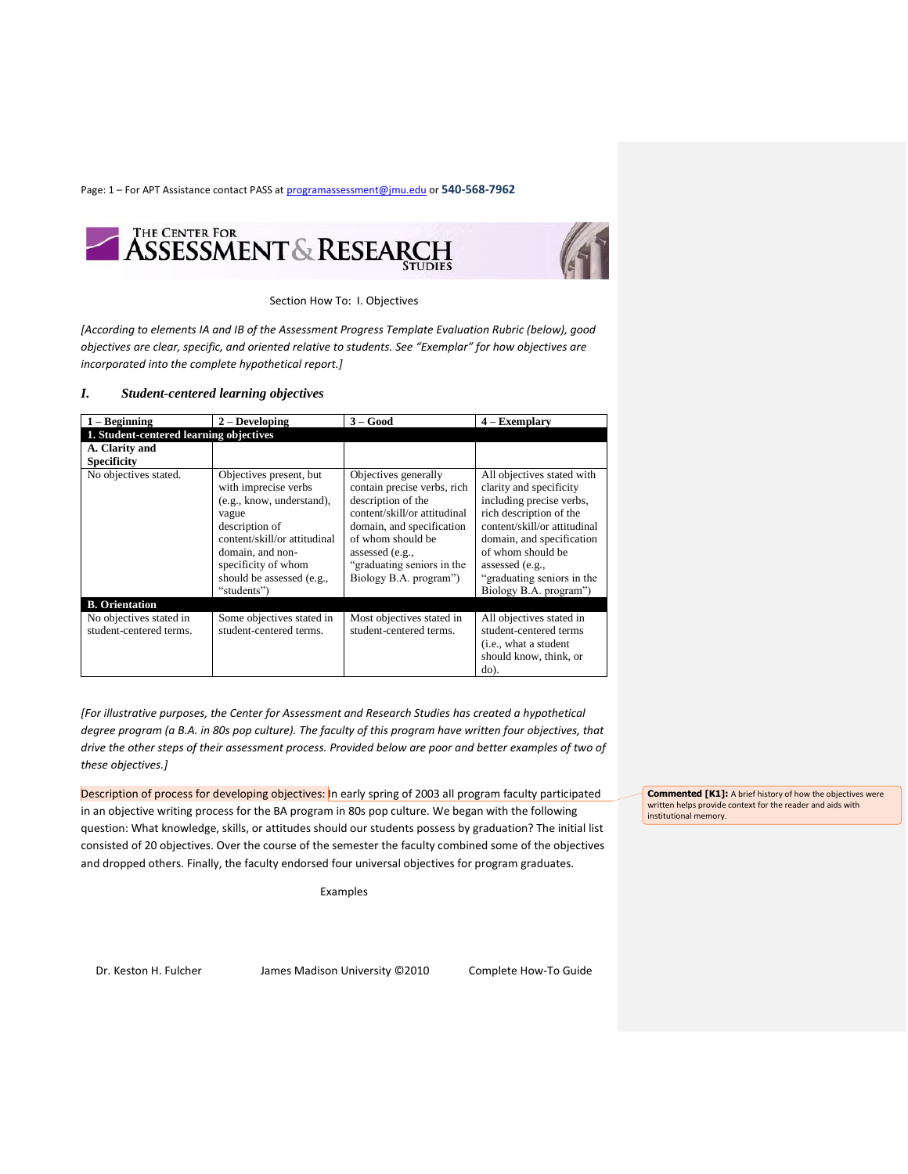Page: 1 – For APT Assistance contact PASS at [programassessment@jmu.edu](mailto:programassessment@jmu.edu) or 540-568-7962



Section How To: I. Objectives

*[\[According to elements IA and IB of the Assessment Progress Template Evalu](http://www.jmu.edu/assessment/index.htm)ation Rubric (below), good objectives are clear, specific, and oriented relative to students. See "Exemplar" for how objectives are incorporated into the complete hypothetical report.]*

### *I. Student-centered learning objectives*

| $1 -$ Beginning                                    | $2 - Developing$                                                                                                                                                                                                               | $3 - Good$                                                                                                                                                                                                                             | $4 -$ Exemplary                                                                                                                                                                                                                                                           |
|----------------------------------------------------|--------------------------------------------------------------------------------------------------------------------------------------------------------------------------------------------------------------------------------|----------------------------------------------------------------------------------------------------------------------------------------------------------------------------------------------------------------------------------------|---------------------------------------------------------------------------------------------------------------------------------------------------------------------------------------------------------------------------------------------------------------------------|
| 1. Student-centered learning objectives            |                                                                                                                                                                                                                                |                                                                                                                                                                                                                                        |                                                                                                                                                                                                                                                                           |
| A. Clarity and<br><b>Specificity</b>               |                                                                                                                                                                                                                                |                                                                                                                                                                                                                                        |                                                                                                                                                                                                                                                                           |
| No objectives stated.                              | Objectives present, but<br>with imprecise verbs<br>(e.g., know, understand),<br>vague<br>description of<br>content/skill/or attitudinal<br>domain, and non-<br>specificity of whom<br>should be assessed (e.g.,<br>"students") | Objectives generally<br>contain precise verbs, rich<br>description of the<br>content/skill/or attitudinal<br>domain, and specification<br>of whom should be<br>assessed (e.g.,<br>"graduating seniors in the<br>Biology B.A. program") | All objectives stated with<br>clarity and specificity<br>including precise verbs,<br>rich description of the<br>content/skill/or attitudinal<br>domain, and specification<br>of whom should be<br>assessed (e.g.,<br>"graduating seniors in the<br>Biology B.A. program") |
| <b>B.</b> Orientation                              |                                                                                                                                                                                                                                |                                                                                                                                                                                                                                        |                                                                                                                                                                                                                                                                           |
| No objectives stated in<br>student-centered terms. | Some objectives stated in<br>student-centered terms.                                                                                                                                                                           | Most objectives stated in<br>student-centered terms.                                                                                                                                                                                   | All objectives stated in<br>student-centered terms<br>( <i>i.e.</i> , what a student<br>should know, think, or<br>do).                                                                                                                                                    |

*[For illustrative purposes, the Center for Assessment and Research Studies has created a hypothetical degree program (a B.A. in 80s pop culture). The faculty of this program have written four objectives, that drive the other steps of their assessment process. Provided below are poor and better examples of two of these objectives.]*

Description of process for developing objectives: In early spring of 2003 all program faculty participated in an objective writing process for the BA program in 80s pop culture. We began with the following question: What knowledge, skills, or attitudes should our students possess by graduation? The initial list consisted of 20 objectives. Over the course of the semester the faculty combined some of the objectives and dropped others. Finally, the faculty endorsed four universal objectives for program graduates.

Examples

Dr. Keston H. Fulcher James Madison University ©2010 Complete How-To Guide

**Commented [K1]:** A brief history of how the objectives were written helps provide context for the reader and aids with institutional memory.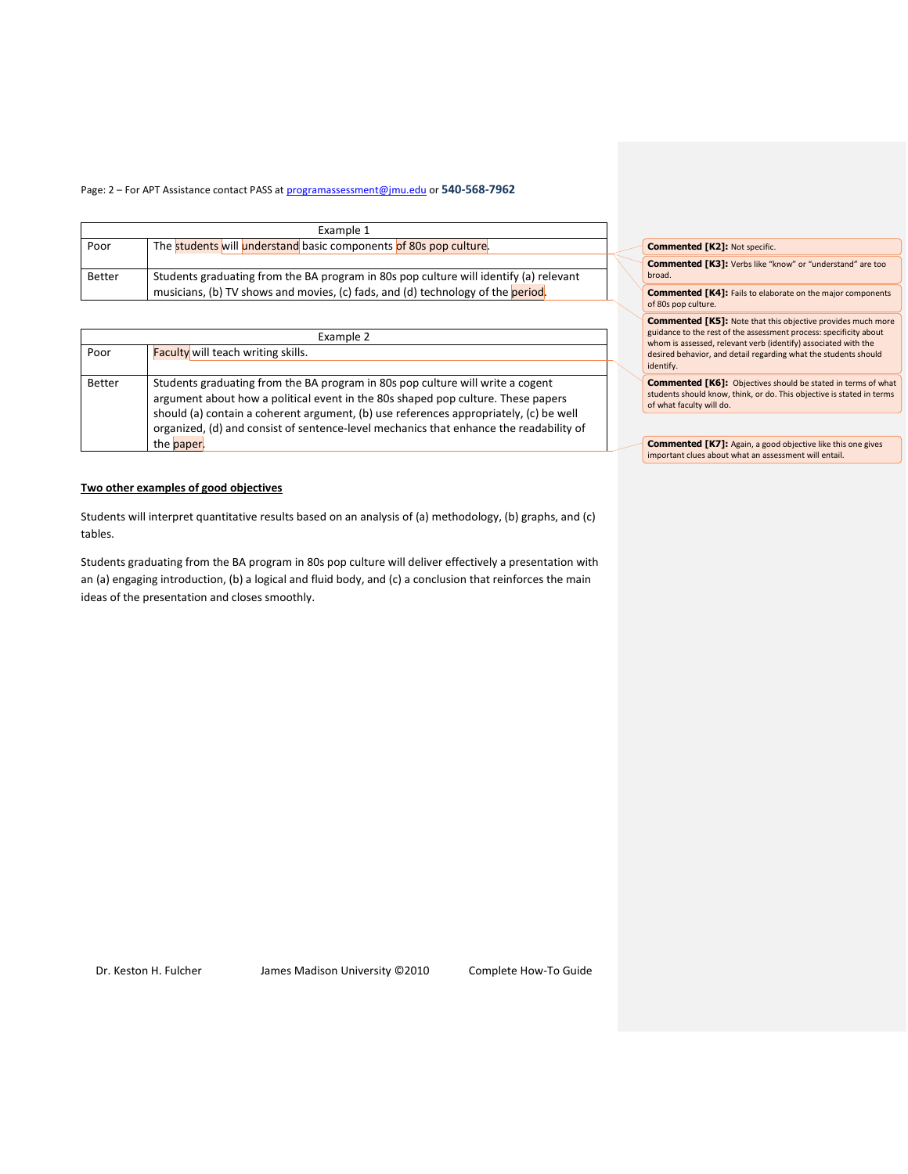### Page: 2 – For APT Assistance contact PASS at [programassessment@jmu.edu](mailto:programassessment@jmu.edu) or **540-568-7962**

|               | Example 1                                                                             |               |
|---------------|---------------------------------------------------------------------------------------|---------------|
| Poor          | The students will understand basic components of 80s pop culture.                     | <b>Commen</b> |
|               |                                                                                       | Commen        |
| <b>Better</b> | Students graduating from the BA program in 80s pop culture will identify (a) relevant | broad.        |
|               | musicians, (b) TV shows and movies, (c) fads, and (d) technology of the period.       | Commen        |

|        | Example 2                                                                                                                                                                                                                                                                                                                                                           |  |
|--------|---------------------------------------------------------------------------------------------------------------------------------------------------------------------------------------------------------------------------------------------------------------------------------------------------------------------------------------------------------------------|--|
| Poor   | <b>Faculty</b> will teach writing skills.                                                                                                                                                                                                                                                                                                                           |  |
| Better | Students graduating from the BA program in 80s pop culture will write a cogent<br>argument about how a political event in the 80s shaped pop culture. These papers<br>should (a) contain a coherent argument, (b) use references appropriately, (c) be well<br>organized, (d) and consist of sentence-level mechanics that enhance the readability of<br>the paper. |  |

## **Two other examples of good objectives**

Students will interpret quantitative results based on an analysis of (a) methodology, (b) graphs, and (c) tables.

Students graduating from the BA program in 80s pop culture will deliver effectively a presentation with an (a) engaging introduction, (b) a logical and fluid body, and (c) a conclusion that reinforces the main ideas of the presentation and closes smoothly.

**ted [K2]:** Not specific.

**ited [K3]:** Verbs like "know" or "understand" are too

**nted [K4]:** Fails to elaborate on the major components of 80s pop culture.

**Commented [K5]:** Note that this objective provides much more guidance to the rest of the assessment process: specificity about whom is assessed, relevant verb (identify) associated with the desired behavior, and detail regarding what the students should identify.

**Commented [K6]:** Objectives should be stated in terms of what students should know, think, or do. This objective is stated in terms of what faculty will do.

**Commented [K7]:** Again, a good objective like this one gives important clues about what an assessment will entail.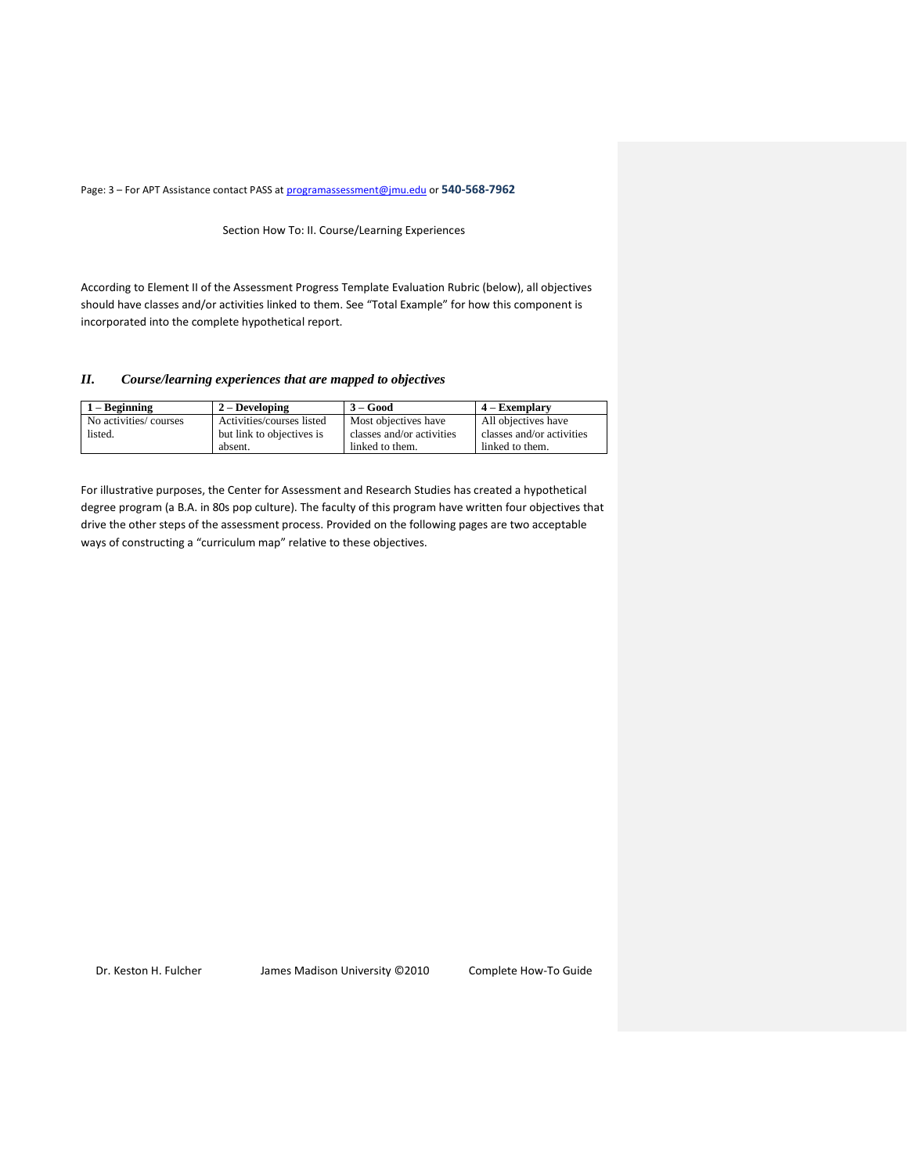Page: 3 – For APT Assistance contact PASS at [programassessment@jmu.edu](mailto:programassessment@jmu.edu) or **540-568-7962**

Section How To: II. Course/Learning Experiences

According to Element II of the Assessment Progress Template Evaluation Rubric (below), all objectives should have classes and/or activities linked to them. See "Total Example" for how this component is incorporated into the complete hypothetical report.

# *II. Course/learning experiences that are mapped to objectives*

| $1 -$ Beginning       | $2 - Developing$          | $3 - Good$                | $4 - Exemplary$           |
|-----------------------|---------------------------|---------------------------|---------------------------|
| No activities/courses | Activities/courses listed | Most objectives have      | All objectives have       |
| listed.               | but link to objectives is | classes and/or activities | classes and/or activities |
|                       | absent.                   | linked to them.           | linked to them.           |

For illustrative purposes, the Center for Assessment and Research Studies has created a hypothetical degree program (a B.A. in 80s pop culture). The faculty of this program have written four objectives that drive the other steps of the assessment process. Provided on the following pages are two acceptable ways of constructing a "curriculum map" relative to these objectives.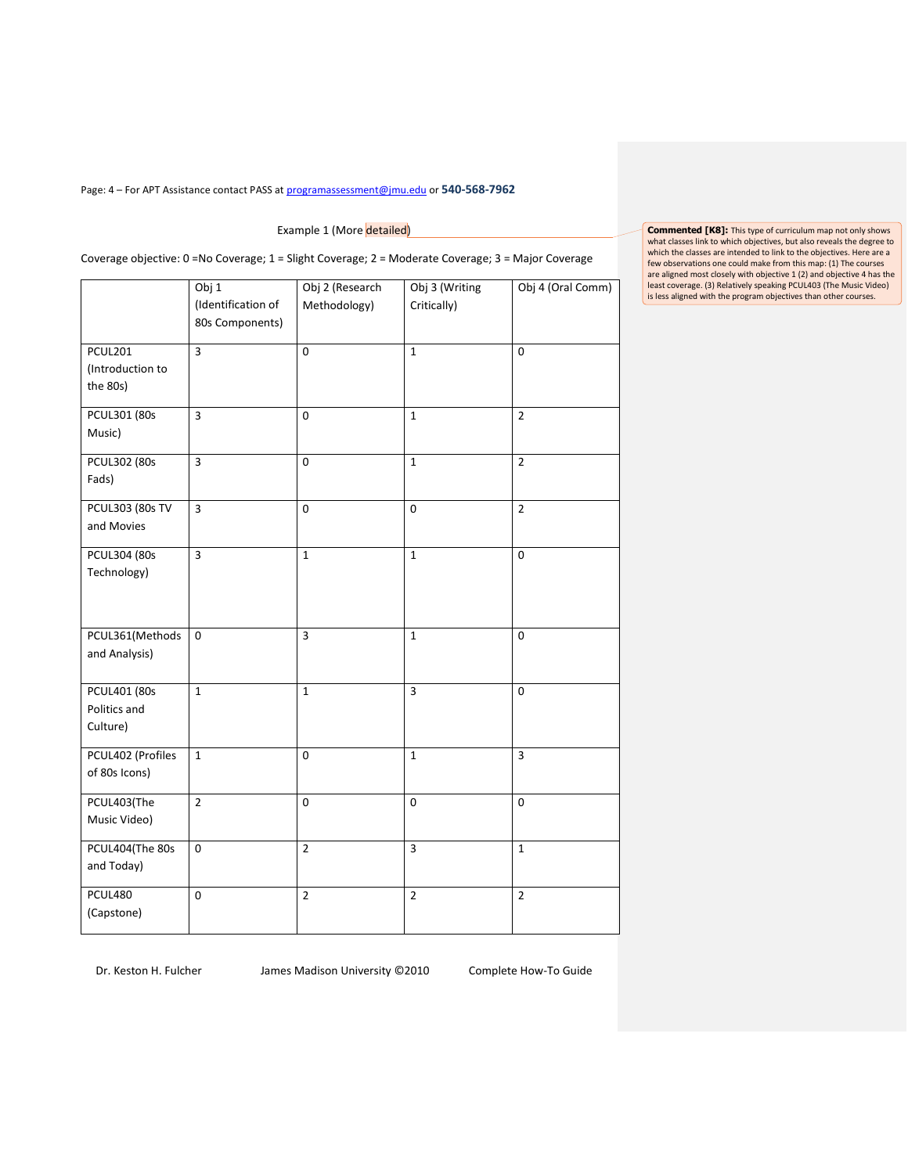## Page: 4 – For APT Assistance contact PASS at [programassessment@jmu.edu](mailto:programassessment@jmu.edu) or **540-568-7962**

# Example 1 (More detailed)

Coverage objective: 0 =No Coverage; 1 = Slight Coverage; 2 = Moderate Coverage; 3 = Major Coverage

|                                    | Obj 1<br>(Identification of | Obj 2 (Research<br>Methodology) | Obj 3 (Writing<br>Critically) | Obj 4 (Oral Comm) |
|------------------------------------|-----------------------------|---------------------------------|-------------------------------|-------------------|
|                                    | 80s Components)             |                                 |                               |                   |
| PCUL201                            | $\overline{3}$              | $\mathbf 0$                     | $\mathbf{1}$                  | $\mathbf 0$       |
| (Introduction to                   |                             |                                 |                               |                   |
| the 80s)                           |                             |                                 |                               |                   |
| <b>PCUL301 (80s)</b>               | 3                           | $\mathbf 0$                     | $\mathbf 1$                   | $\overline{2}$    |
| Music)                             |                             |                                 |                               |                   |
| PCUL302 (80s                       | $\overline{3}$              | $\mathbf 0$                     | $\mathbf{1}$                  | $\overline{2}$    |
| Fads)                              |                             |                                 |                               |                   |
| PCUL303 (80s TV                    | $\overline{3}$              | $\mathbf 0$                     | $\mathbf 0$                   | $\overline{2}$    |
| and Movies                         |                             |                                 |                               |                   |
| <b>PCUL304 (80s)</b>               | 3                           | $\mathbf{1}$                    | $\mathbf{1}$                  | $\pmb{0}$         |
| Technology)                        |                             |                                 |                               |                   |
|                                    |                             |                                 |                               |                   |
| PCUL361(Methods                    | $\pmb{0}$                   | 3                               | $\mathbf 1$                   | $\pmb{0}$         |
| and Analysis)                      |                             |                                 |                               |                   |
| <b>PCUL401 (80s)</b>               | $\mathbf{1}$                | $\mathbf{1}$                    | $\overline{3}$                | $\mathbf 0$       |
| Politics and                       |                             |                                 |                               |                   |
| Culture)                           |                             |                                 |                               |                   |
|                                    |                             |                                 |                               |                   |
| PCUL402 (Profiles<br>of 80s Icons) | $\mathbf 1$                 | $\mathbf 0$                     | $\mathbf{1}$                  | 3                 |
|                                    |                             |                                 |                               |                   |
| PCUL403(The                        | $\overline{2}$              | $\mathbf 0$                     | 0                             | $\pmb{0}$         |
| Music Video)                       |                             |                                 |                               |                   |
| PCUL404(The 80s                    | $\pmb{0}$                   | $\overline{2}$                  | $\overline{3}$                | $\mathbf{1}$      |
| and Today)                         |                             |                                 |                               |                   |
| <b>PCUL480</b>                     | $\pmb{0}$                   | $\overline{2}$                  | $\mathbf 2$                   | $\overline{2}$    |
| (Capstone)                         |                             |                                 |                               |                   |

**Commented [K8]:** This type of curriculum map not only shows what classes link to which objectives, but also reveals the degree to which the classes are intended to link to the objectives. Here are a few observations one could make from this map: (1) The courses are aligned most closely with objective 1 (2) and objective 4 has the least coverage. (3) Relatively speaking PCUL403 (The Music Video) is less aligned with the program objectives than other courses.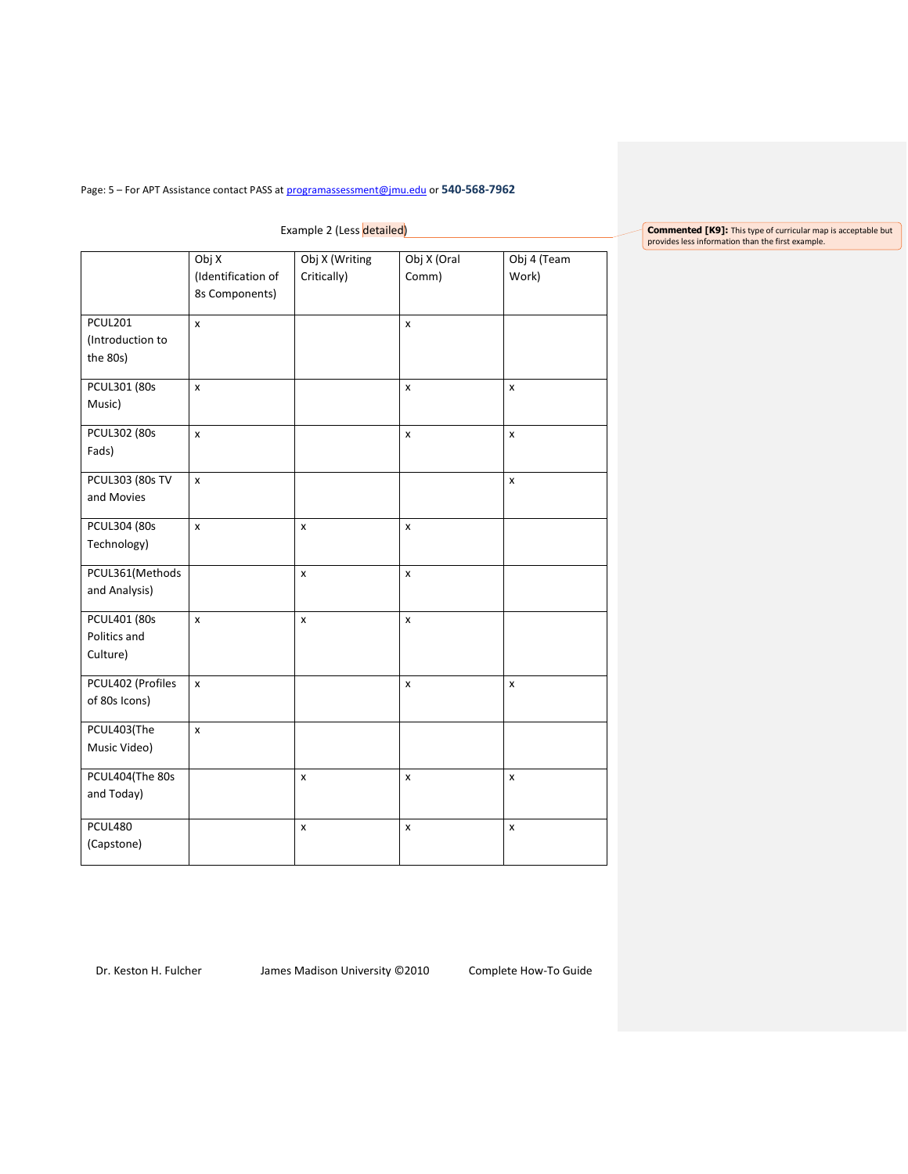# Page: 5 – For APT Assistance contact PASS at [programassessment@jmu.edu](mailto:programassessment@jmu.edu) or **540-568-7962**

| Example 2 (Less detailed) |                                      |                |             |             |  |
|---------------------------|--------------------------------------|----------------|-------------|-------------|--|
|                           | Obj X                                | Obj X (Writing | Obj X (Oral | Obj 4 (Team |  |
|                           | (Identification of<br>8s Components) | Critically)    | Comm)       | Work)       |  |
| PCUL201                   | x                                    |                | x           |             |  |
| (Introduction to          |                                      |                |             |             |  |
| the 80s)                  |                                      |                |             |             |  |
| PCUL301 (80s              | x                                    |                | x           | x           |  |
| Music)                    |                                      |                |             |             |  |
| <b>PCUL302 (80s)</b>      | x                                    |                | x           | x           |  |
| Fads)                     |                                      |                |             |             |  |
| PCUL303 (80s TV           | x                                    |                |             | x           |  |
| and Movies                |                                      |                |             |             |  |
| <b>PCUL304 (80s)</b>      | X                                    | x              | x           |             |  |
| Technology)               |                                      |                |             |             |  |
| PCUL361(Methods           |                                      | X              | x           |             |  |
| and Analysis)             |                                      |                |             |             |  |
| PCUL401 (80s              | X                                    | x              | x           |             |  |
| Politics and              |                                      |                |             |             |  |
| Culture)                  |                                      |                |             |             |  |
| PCUL402 (Profiles         | X                                    |                | x           | x           |  |
| of 80s Icons)             |                                      |                |             |             |  |
| PCUL403(The               | X                                    |                |             |             |  |
| Music Video)              |                                      |                |             |             |  |
| PCUL404(The 80s           |                                      | x              | x           | x           |  |
| and Today)                |                                      |                |             |             |  |
| PCUL480                   |                                      | X              | x           | X           |  |
| (Capstone)                |                                      |                |             |             |  |
|                           |                                      |                |             |             |  |

**Commented [K9]:** This type of curricular map is acceptable but provides less information than the first example.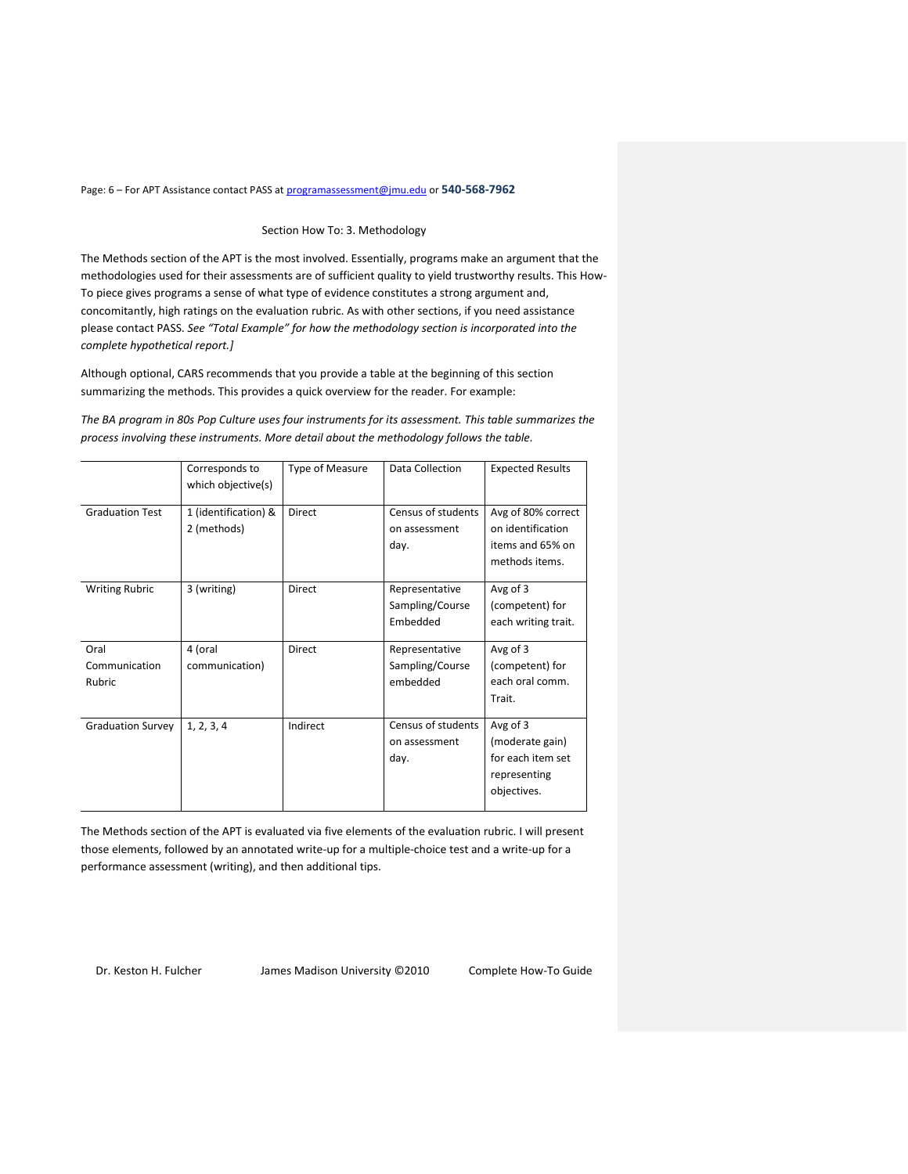Page: 6 – For APT Assistance contact PASS at [programassessment@jmu.edu](mailto:programassessment@jmu.edu) or **540-568-7962**

### Section How To: 3. Methodology

The Methods section of the APT is the most involved. Essentially, programs make an argument that the methodologies used for their assessments are of sufficient quality to yield trustworthy results. This How-To piece gives programs a sense of what type of evidence constitutes a strong argument and, concomitantly, high ratings on the evaluation rubric. As with other sections, if you need assistance please contact PASS. *See "Total Example" for how the methodology section is incorporated into the complete hypothetical report.]*

Although optional, CARS recommends that you provide a table at the beginning of this section summarizing the methods. This provides a quick overview for the reader. For example:

*The BA program in 80s Pop Culture uses four instruments for its assessment. This table summarizes the process involving these instruments. More detail about the methodology follows the table.*

|                                 | Corresponds to<br>which objective(s) | Type of Measure | Data Collection                               | <b>Expected Results</b>                                                         |
|---------------------------------|--------------------------------------|-----------------|-----------------------------------------------|---------------------------------------------------------------------------------|
| <b>Graduation Test</b>          | 1 (identification) &<br>2 (methods)  | <b>Direct</b>   | Census of students<br>on assessment<br>day.   | Avg of 80% correct<br>on identification<br>items and 65% on<br>methods items.   |
| <b>Writing Rubric</b>           | 3 (writing)                          | <b>Direct</b>   | Representative<br>Sampling/Course<br>Embedded | Avg of 3<br>(competent) for<br>each writing trait.                              |
| Oral<br>Communication<br>Rubric | 4 (oral<br>communication)            | <b>Direct</b>   | Representative<br>Sampling/Course<br>embedded | Avg of 3<br>(competent) for<br>each oral comm.<br>Trait.                        |
| <b>Graduation Survey</b>        | 1, 2, 3, 4                           | Indirect        | Census of students<br>on assessment<br>day.   | Avg of 3<br>(moderate gain)<br>for each item set<br>representing<br>objectives. |

The Methods section of the APT is evaluated via five elements of the evaluation rubric. I will present those elements, followed by an annotated write-up for a multiple-choice test and a write-up for a performance assessment (writing), and then additional tips.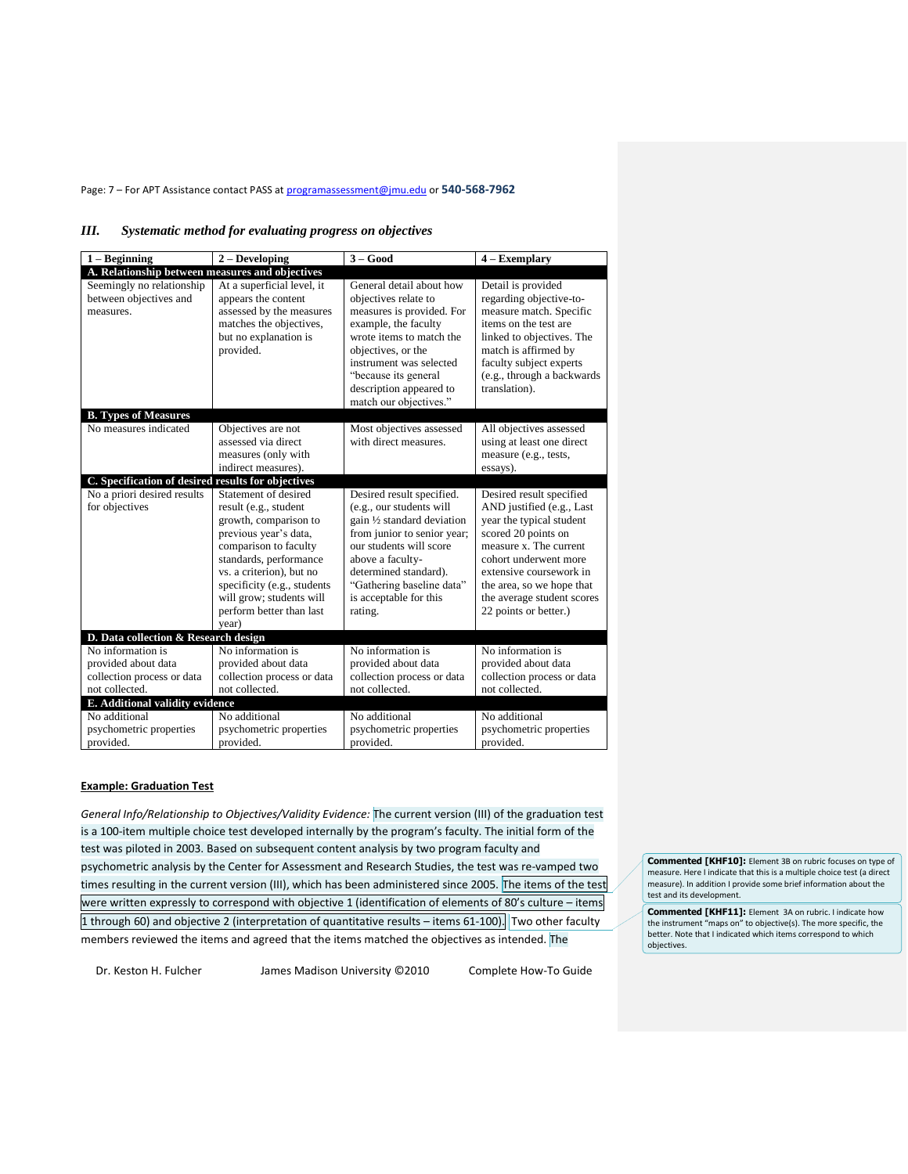Page: 7 – For APT Assistance contact PASS at [programassessment@jmu.edu](mailto:programassessment@jmu.edu) or **540-568-7962**

## *III. Systematic method for evaluating progress on objectives*

| $1 -$ Beginning                                                                          | $2 - Developing$                                                                                                                                                                                                                                                               | $3 - Good$                                                                                                                                                                                                                                                      | $4 -$ Exemplary                                                                                                                                                                                                                                                            |
|------------------------------------------------------------------------------------------|--------------------------------------------------------------------------------------------------------------------------------------------------------------------------------------------------------------------------------------------------------------------------------|-----------------------------------------------------------------------------------------------------------------------------------------------------------------------------------------------------------------------------------------------------------------|----------------------------------------------------------------------------------------------------------------------------------------------------------------------------------------------------------------------------------------------------------------------------|
| A. Relationship between measures and objectives                                          |                                                                                                                                                                                                                                                                                |                                                                                                                                                                                                                                                                 |                                                                                                                                                                                                                                                                            |
| Seemingly no relationship<br>between objectives and<br>measures.                         | At a superficial level, it<br>appears the content<br>assessed by the measures<br>matches the objectives,<br>but no explanation is<br>provided.                                                                                                                                 | General detail about how<br>objectives relate to<br>measures is provided. For<br>example, the faculty<br>wrote items to match the<br>objectives, or the<br>instrument was selected<br>"because its general<br>description appeared to<br>match our objectives." | Detail is provided<br>regarding objective-to-<br>measure match. Specific<br>items on the test are<br>linked to objectives. The<br>match is affirmed by<br>faculty subject experts<br>(e.g., through a backwards)<br>translation).                                          |
| <b>B.</b> Types of Measures                                                              |                                                                                                                                                                                                                                                                                |                                                                                                                                                                                                                                                                 |                                                                                                                                                                                                                                                                            |
| No measures indicated                                                                    | Objectives are not<br>assessed via direct<br>measures (only with<br>indirect measures).                                                                                                                                                                                        | Most objectives assessed<br>with direct measures.                                                                                                                                                                                                               | All objectives assessed<br>using at least one direct<br>measure (e.g., tests,<br>essays).                                                                                                                                                                                  |
| C. Specification of desired results for objectives                                       |                                                                                                                                                                                                                                                                                |                                                                                                                                                                                                                                                                 |                                                                                                                                                                                                                                                                            |
| No a priori desired results<br>for objectives                                            | Statement of desired<br>result (e.g., student<br>growth, comparison to<br>previous year's data,<br>comparison to faculty<br>standards, performance<br>vs. a criterion), but no<br>specificity (e.g., students<br>will grow; students will<br>perform better than last<br>year) | Desired result specified.<br>(e.g., our students will<br>gain 1/2 standard deviation<br>from junior to senior year;<br>our students will score<br>above a faculty-<br>determined standard).<br>"Gathering baseline data"<br>is acceptable for this<br>rating.   | Desired result specified<br>AND justified (e.g., Last<br>year the typical student<br>scored 20 points on<br>measure x. The current<br>cohort underwent more<br>extensive coursework in<br>the area, so we hope that<br>the average student scores<br>22 points or better.) |
| D. Data collection & Research design                                                     |                                                                                                                                                                                                                                                                                |                                                                                                                                                                                                                                                                 |                                                                                                                                                                                                                                                                            |
| No information is<br>provided about data<br>collection process or data<br>not collected. | No information is<br>provided about data<br>collection process or data<br>not collected.                                                                                                                                                                                       | No information is<br>provided about data<br>collection process or data<br>not collected.                                                                                                                                                                        | No information is<br>provided about data<br>collection process or data<br>not collected.                                                                                                                                                                                   |
| E. Additional validity evidence                                                          |                                                                                                                                                                                                                                                                                |                                                                                                                                                                                                                                                                 |                                                                                                                                                                                                                                                                            |
| No additional<br>psychometric properties<br>provided.                                    | No additional<br>psychometric properties<br>provided.                                                                                                                                                                                                                          | No additional<br>psychometric properties<br>provided.                                                                                                                                                                                                           | No additional<br>psychometric properties<br>provided.                                                                                                                                                                                                                      |

## **Example: Graduation Test**

*General Info/Relationship to Objectives/Validity Evidence:* The current version (III) of the graduation test is a 100-item multiple choice test developed internally by the program's faculty. The initial form of the test was piloted in 2003. Based on subsequent content analysis by two program faculty and psychometric analysis by the Center for Assessment and Research Studies, the test was re-vamped two times resulting in the current version (III), which has been administered since 2005. The items of the test were written expressly to correspond with objective 1 (identification of elements of 80's culture – items 1 through 60) and objective 2 (interpretation of quantitative results – items 61-100). Two other faculty members reviewed the items and agreed that the items matched the objectives as intended. The

Dr. Keston H. Fulcher James Madison University ©2010 Complete How-To Guide

**Commented [KHF10]:** Element 3B on rubric focuses on type of measure. Here I indicate that this is a multiple choice test (a direct measure). In addition I provide some brief information about the test and its development.

**Commented [KHF11]:** Element 3A on rubric. I indicate how the instrument "maps on" to objective(s). The more specific, the better. Note that I indicated which items correspond to which objectives.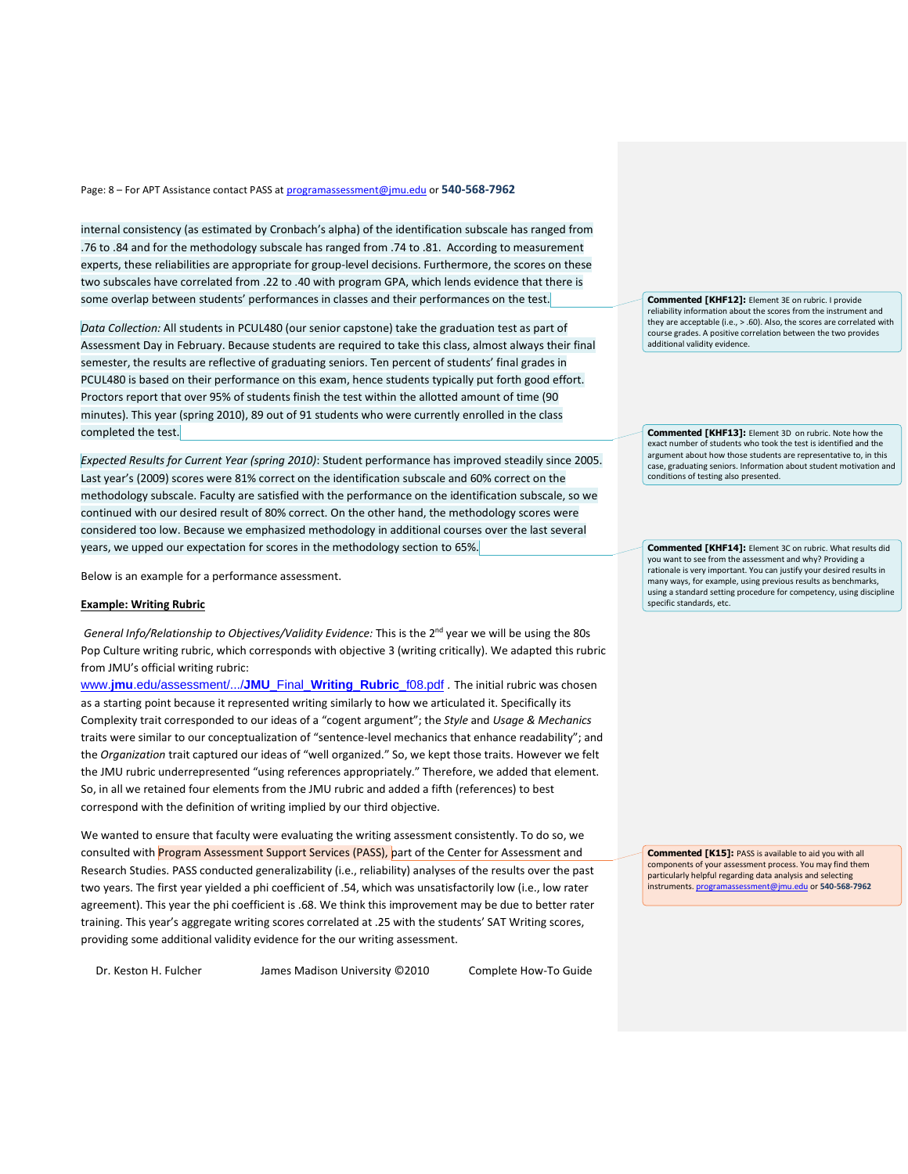#### Page: 8 – For APT Assistance contact PASS at [programassessment@jmu.edu](mailto:programassessment@jmu.edu) or **540-568-7962**

internal consistency (as estimated by Cronbach's alpha) of the identification subscale has ranged from .76 to .84 and for the methodology subscale has ranged from .74 to .81. According to measurement experts, these reliabilities are appropriate for group-level decisions. Furthermore, the scores on these two subscales have correlated from .22 to .40 with program GPA, which lends evidence that there is some overlap between students' performances in classes and their performances on the test.

*Data Collection:* All students in PCUL480 (our senior capstone) take the graduation test as part of Assessment Day in February. Because students are required to take this class, almost always their final semester, the results are reflective of graduating seniors. Ten percent of students' final grades in PCUL480 is based on their performance on this exam, hence students typically put forth good effort. Proctors report that over 95% of students finish the test within the allotted amount of time (90 minutes). This year (spring 2010), 89 out of 91 students who were currently enrolled in the class completed the test.

*Expected Results for Current Year (spring 2010)*: Student performance has improved steadily since 2005. Last year's (2009) scores were 81% correct on the identification subscale and 60% correct on the methodology subscale. Faculty are satisfied with the performance on the identification subscale, so we continued with our desired result of 80% correct. On the other hand, the methodology scores were considered too low. Because we emphasized methodology in additional courses over the last several years, we upped our expectation for scores in the methodology section to 65%.

Below is an example for a performance assessment.

### **Example: Writing Rubric**

*General Info/Relationship to Objectives/Validity Evidence: This is the 2<sup>nd</sup> year we will be using the 80s* Pop Culture writing rubric, which corresponds with objective 3 (writing critically). We adapted this rubric from JMU's official writing rubric:

www.**jmu**[.edu/assessment/.../](http://www.jmu.edu/assessment/.../JMU_Final_Writing_Rubric_f08.pdf)**JMU**\_Final\_**Writing**\_**Rubric**\_f08.pdf *.* The initial rubric was chosen as a starting point because it represented writing similarly to how we articulated it. Specifically its Complexity trait corresponded to our ideas of a "cogent argument"; the *Style* and *Usage & Mechanics* traits were similar to our conceptualization of "sentence-level mechanics that enhance readability"; and the *Organization* trait captured our ideas of "well organized." So, we kept those traits. However we felt the JMU rubric underrepresented "using references appropriately." Therefore, we added that element. So, in all we retained four elements from the JMU rubric and added a fifth (references) to best correspond with the definition of writing implied by our third objective.

We wanted to ensure that faculty were evaluating the writing assessment consistently. To do so, we consulted with Program Assessment Support Services (PASS), part of the Center for Assessment and Research Studies. PASS conducted generalizability (i.e., reliability) analyses of the results over the past two years. The first year yielded a phi coefficient of .54, which was unsatisfactorily low (i.e., low rater agreement). This year the phi coefficient is .68. We think this improvement may be due to better rater training. This year's aggregate writing scores correlated at .25 with the students' SAT Writing scores, providing some additional validity evidence for the our writing assessment.

Dr. Keston H. Fulcher James Madison University ©2010 Complete How-To Guide

**Commented [KHF12]:** Element 3E on rubric. I provide reliability information about the scores from the instrument and they are acceptable (i.e., > .60). Also, the scores are correlated with course grades. A positive correlation between the two provides additional validity evidence.

**Commented [KHF13]:** Element 3D on rubric. Note how the exact number of students who took the test is identified and the argument about how those students are representative to, in this case, graduating seniors. Information about student motivation and conditions of testing also presented.

**Commented [KHF14]:** Element 3C on rubric. What results did you want to see from the assessment and why? Providing a rationale is very important. You can justify your desired results in many ways, for example, using previous results as benchmarks, using a standard setting procedure for competency, using discipline specific standards, etc.

**Commented [K15]:** PASS is available to aid you with all components of your assessment process. You may find them particularly helpful regarding data analysis and selecting instruments[. programassessment@jmu.edu](mailto:programassessment@jmu.edu) or **540-568-7962**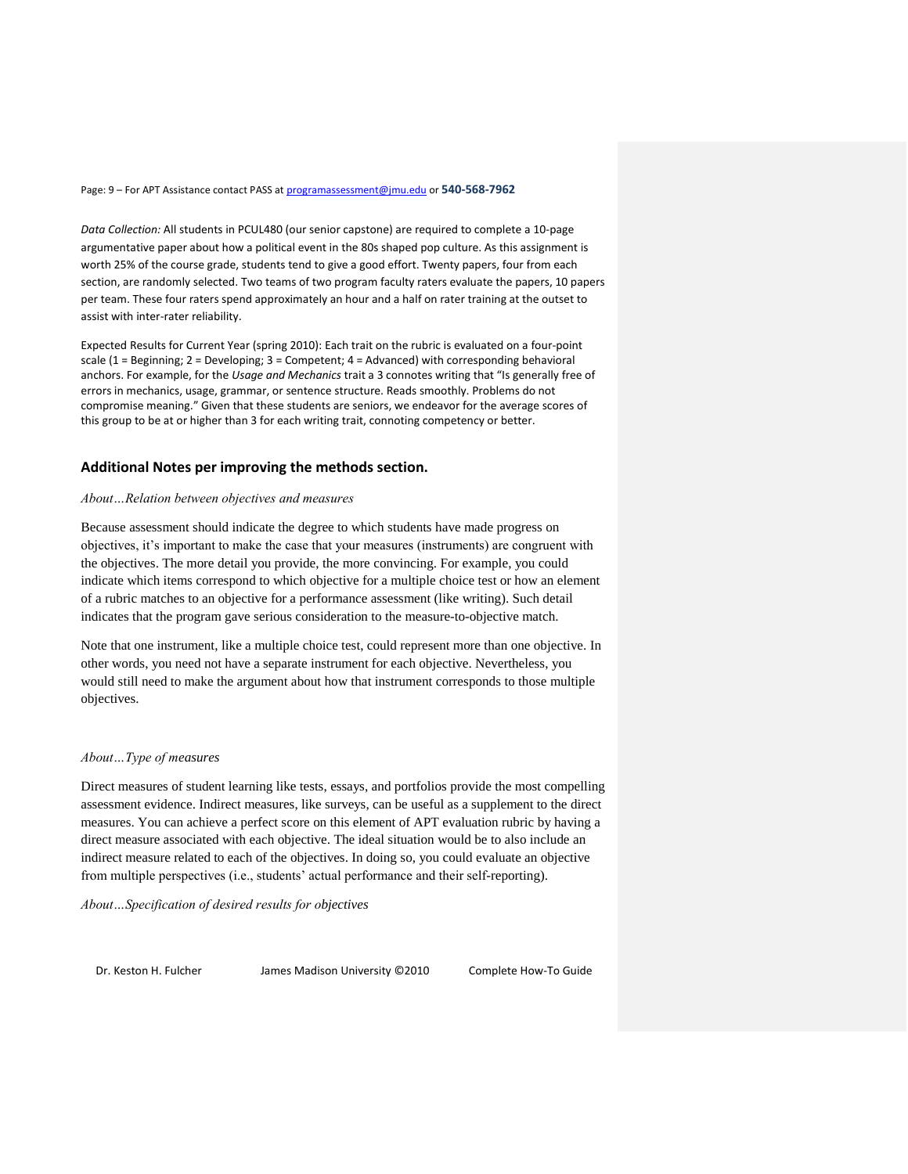#### Page: 9 – For APT Assistance contact PASS at [programassessment@jmu.edu](mailto:programassessment@jmu.edu) or **540-568-7962**

*Data Collection:* All students in PCUL480 (our senior capstone) are required to complete a 10-page argumentative paper about how a political event in the 80s shaped pop culture. As this assignment is worth 25% of the course grade, students tend to give a good effort. Twenty papers, four from each section, are randomly selected. Two teams of two program faculty raters evaluate the papers, 10 papers per team. These four raters spend approximately an hour and a half on rater training at the outset to assist with inter-rater reliability.

Expected Results for Current Year (spring 2010): Each trait on the rubric is evaluated on a four-point scale (1 = Beginning; 2 = Developing; 3 = Competent; 4 = Advanced) with corresponding behavioral anchors. For example, for the *Usage and Mechanics* trait a 3 connotes writing that "Is generally free of errors in mechanics, usage, grammar, or sentence structure. Reads smoothly. Problems do not compromise meaning." Given that these students are seniors, we endeavor for the average scores of this group to be at or higher than 3 for each writing trait, connoting competency or better.

## **Additional Notes per improving the methods section.**

# *About…Relation between objectives and measures*

Because assessment should indicate the degree to which students have made progress on objectives, it's important to make the case that your measures (instruments) are congruent with the objectives. The more detail you provide, the more convincing. For example, you could indicate which items correspond to which objective for a multiple choice test or how an element of a rubric matches to an objective for a performance assessment (like writing). Such detail indicates that the program gave serious consideration to the measure-to-objective match.

Note that one instrument, like a multiple choice test, could represent more than one objective. In other words, you need not have a separate instrument for each objective. Nevertheless, you would still need to make the argument about how that instrument corresponds to those multiple objectives.

## *About…Type of measures*

Direct measures of student learning like tests, essays, and portfolios provide the most compelling assessment evidence. Indirect measures, like surveys, can be useful as a supplement to the direct measures. You can achieve a perfect score on this element of APT evaluation rubric by having a direct measure associated with each objective. The ideal situation would be to also include an indirect measure related to each of the objectives. In doing so, you could evaluate an objective from multiple perspectives (i.e., students' actual performance and their self-reporting).

# *About…Specification of desired results for objectives*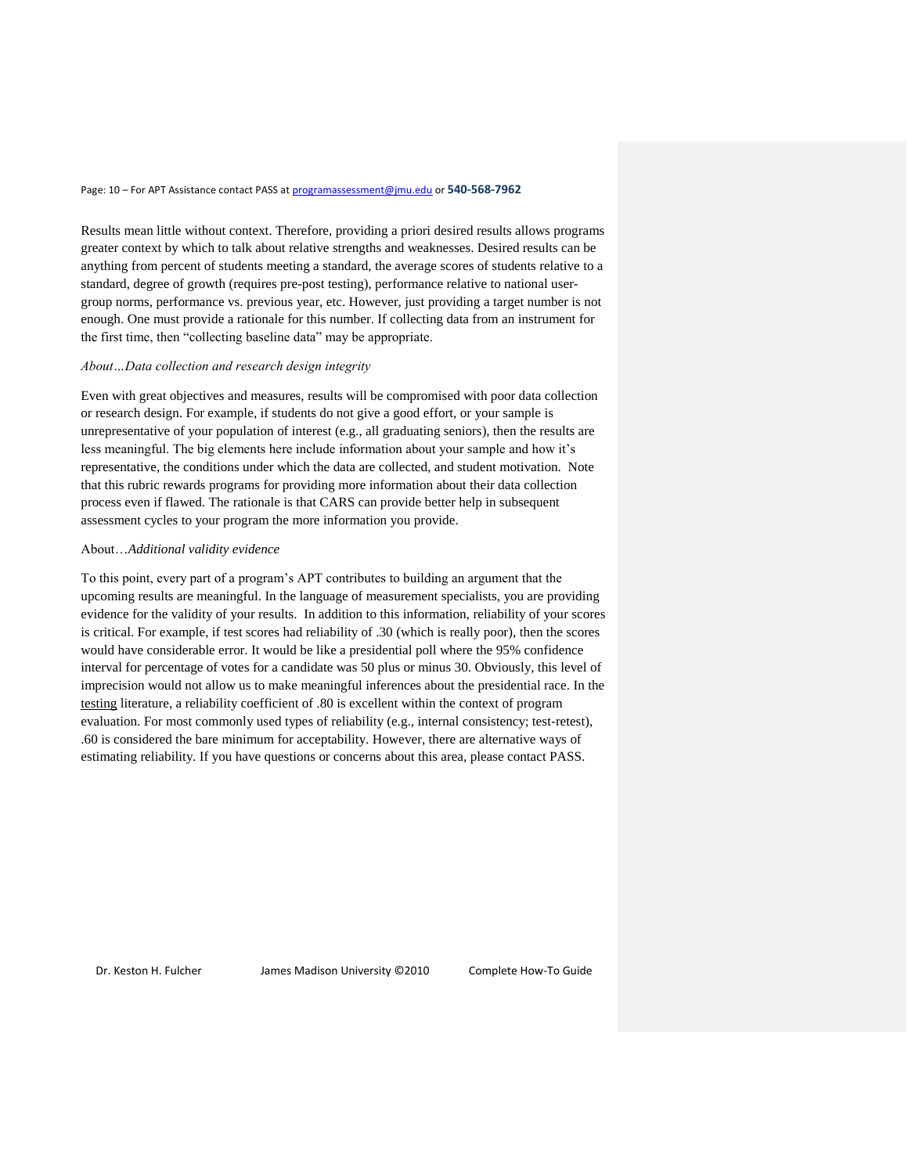#### Page: 10 – For APT Assistance contact PASS at [programassessment@jmu.edu](mailto:programassessment@jmu.edu) or **540-568-7962**

Results mean little without context. Therefore, providing a priori desired results allows programs greater context by which to talk about relative strengths and weaknesses. Desired results can be anything from percent of students meeting a standard, the average scores of students relative to a standard, degree of growth (requires pre-post testing), performance relative to national usergroup norms, performance vs. previous year, etc. However, just providing a target number is not enough. One must provide a rationale for this number. If collecting data from an instrument for the first time, then "collecting baseline data" may be appropriate.

# *About…Data collection and research design integrity*

Even with great objectives and measures, results will be compromised with poor data collection or research design. For example, if students do not give a good effort, or your sample is unrepresentative of your population of interest (e.g., all graduating seniors), then the results are less meaningful. The big elements here include information about your sample and how it's representative, the conditions under which the data are collected, and student motivation. Note that this rubric rewards programs for providing more information about their data collection process even if flawed. The rationale is that CARS can provide better help in subsequent assessment cycles to your program the more information you provide.

## About…*Additional validity evidence*

To this point, every part of a program's APT contributes to building an argument that the upcoming results are meaningful. In the language of measurement specialists, you are providing evidence for the validity of your results. In addition to this information, reliability of your scores is critical. For example, if test scores had reliability of .30 (which is really poor), then the scores would have considerable error. It would be like a presidential poll where the 95% confidence interval for percentage of votes for a candidate was 50 plus or minus 30. Obviously, this level of imprecision would not allow us to make meaningful inferences about the presidential race. In the testing literature, a reliability coefficient of .80 is excellent within the context of program evaluation. For most commonly used types of reliability (e.g., internal consistency; test-retest), .60 is considered the bare minimum for acceptability. However, there are alternative ways of estimating reliability. If you have questions or concerns about this area, please contact PASS.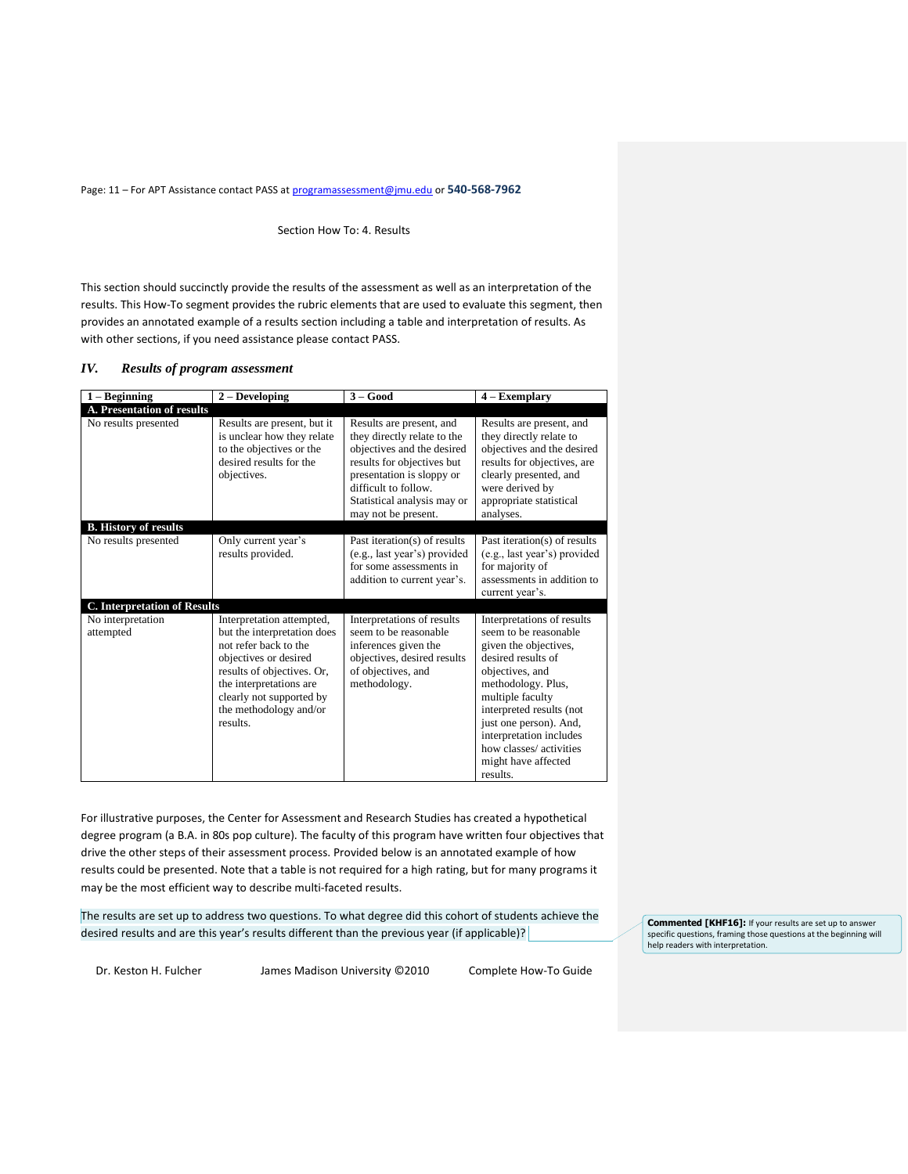Page: 11 – For APT Assistance contact PASS at [programassessment@jmu.edu](mailto:programassessment@jmu.edu) or **540-568-7962**

Section How To: 4. Results

This section should succinctly provide the results of the assessment as well as an interpretation of the results. This How-To segment provides the rubric elements that are used to evaluate this segment, then provides an annotated example of a results section including a table and interpretation of results. As with other sections, if you need assistance please contact PASS.

## *IV. Results of program assessment*

| $1 -$ Beginning                     | $2 - Developing$                                                                                                                                                                                                                      | $3 - Good$                                                                                                                                                                                                                     | $4 -$ Exemplary                                                                                                                                                                                                                                                                                               |
|-------------------------------------|---------------------------------------------------------------------------------------------------------------------------------------------------------------------------------------------------------------------------------------|--------------------------------------------------------------------------------------------------------------------------------------------------------------------------------------------------------------------------------|---------------------------------------------------------------------------------------------------------------------------------------------------------------------------------------------------------------------------------------------------------------------------------------------------------------|
| <b>A. Presentation of results</b>   |                                                                                                                                                                                                                                       |                                                                                                                                                                                                                                |                                                                                                                                                                                                                                                                                                               |
| No results presented                | Results are present, but it<br>is unclear how they relate<br>to the objectives or the<br>desired results for the<br>objectives.                                                                                                       | Results are present, and<br>they directly relate to the<br>objectives and the desired<br>results for objectives but<br>presentation is sloppy or<br>difficult to follow.<br>Statistical analysis may or<br>may not be present. | Results are present, and<br>they directly relate to<br>objectives and the desired<br>results for objectives, are<br>clearly presented, and<br>were derived by<br>appropriate statistical<br>analyses.                                                                                                         |
| <b>B.</b> History of results        |                                                                                                                                                                                                                                       |                                                                                                                                                                                                                                |                                                                                                                                                                                                                                                                                                               |
| No results presented                | Only current year's<br>results provided.                                                                                                                                                                                              | Past iteration(s) of results<br>(e.g., last year's) provided<br>for some assessments in<br>addition to current year's.                                                                                                         | Past iteration(s) of results<br>(e.g., last year's) provided<br>for majority of<br>assessments in addition to<br>current year's.                                                                                                                                                                              |
| <b>C.</b> Interpretation of Results |                                                                                                                                                                                                                                       |                                                                                                                                                                                                                                |                                                                                                                                                                                                                                                                                                               |
| No interpretation<br>attempted      | Interpretation attempted,<br>but the interpretation does<br>not refer back to the<br>objectives or desired<br>results of objectives. Or,<br>the interpretations are<br>clearly not supported by<br>the methodology and/or<br>results. | Interpretations of results<br>seem to be reasonable<br>inferences given the<br>objectives, desired results<br>of objectives, and<br>methodology.                                                                               | Interpretations of results<br>seem to be reasonable<br>given the objectives,<br>desired results of<br>objectives, and<br>methodology. Plus,<br>multiple faculty<br>interpreted results (not<br>just one person). And,<br>interpretation includes<br>how classes/activities<br>might have affected<br>results. |

For illustrative purposes, the Center for Assessment and Research Studies has created a hypothetical degree program (a B.A. in 80s pop culture). The faculty of this program have written four objectives that drive the other steps of their assessment process. Provided below is an annotated example of how results could be presented. Note that a table is not required for a high rating, but for many programs it may be the most efficient way to describe multi-faceted results.

The results are set up to address two questions. To what degree did this cohort of students achieve the desired results and are this year's results different than the previous year (if applicable)?

**Commented [KHF16]:** If your results are set up to answer specific questions, framing those questions at the beginning will help readers with interpretation.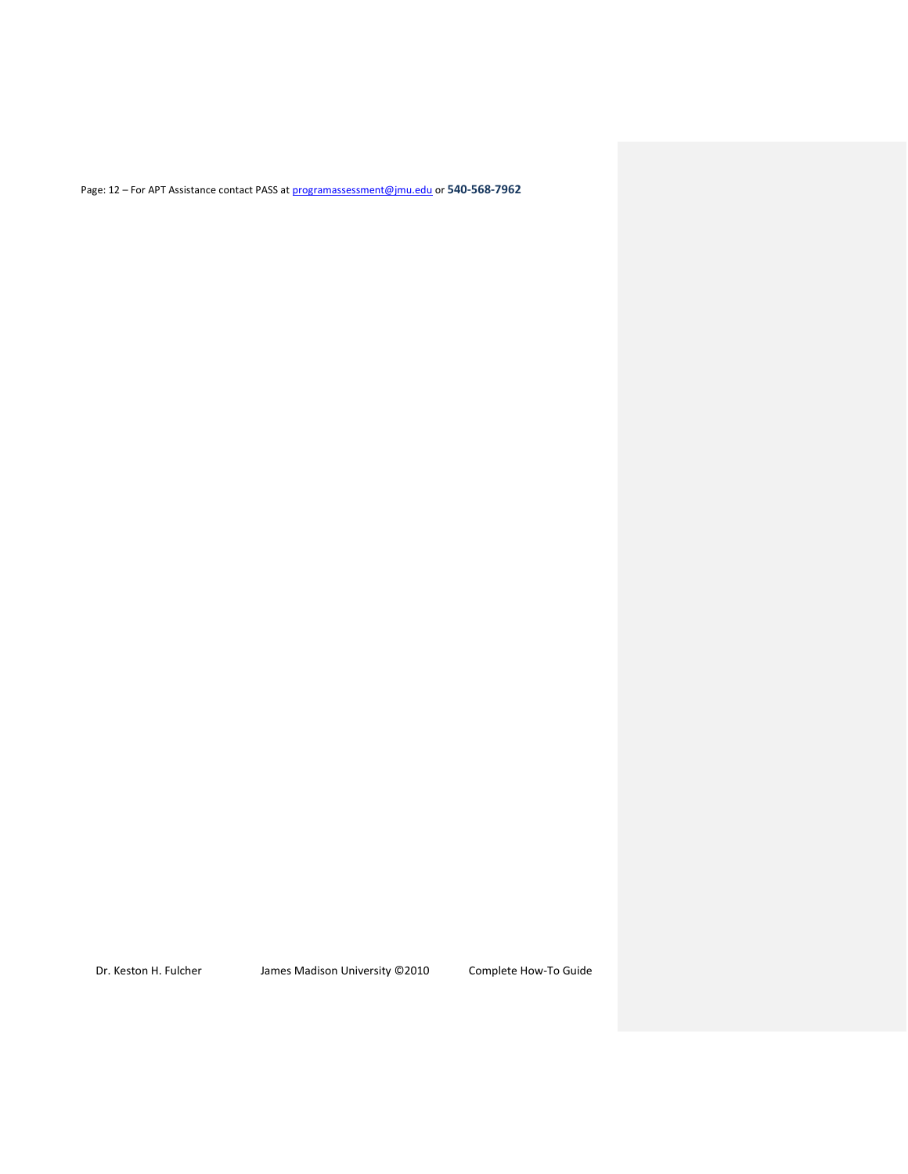Page: 12 – For APT Assistance contact PASS at [programassessment@jmu.edu](mailto:programassessment@jmu.edu) or **540-568-7962**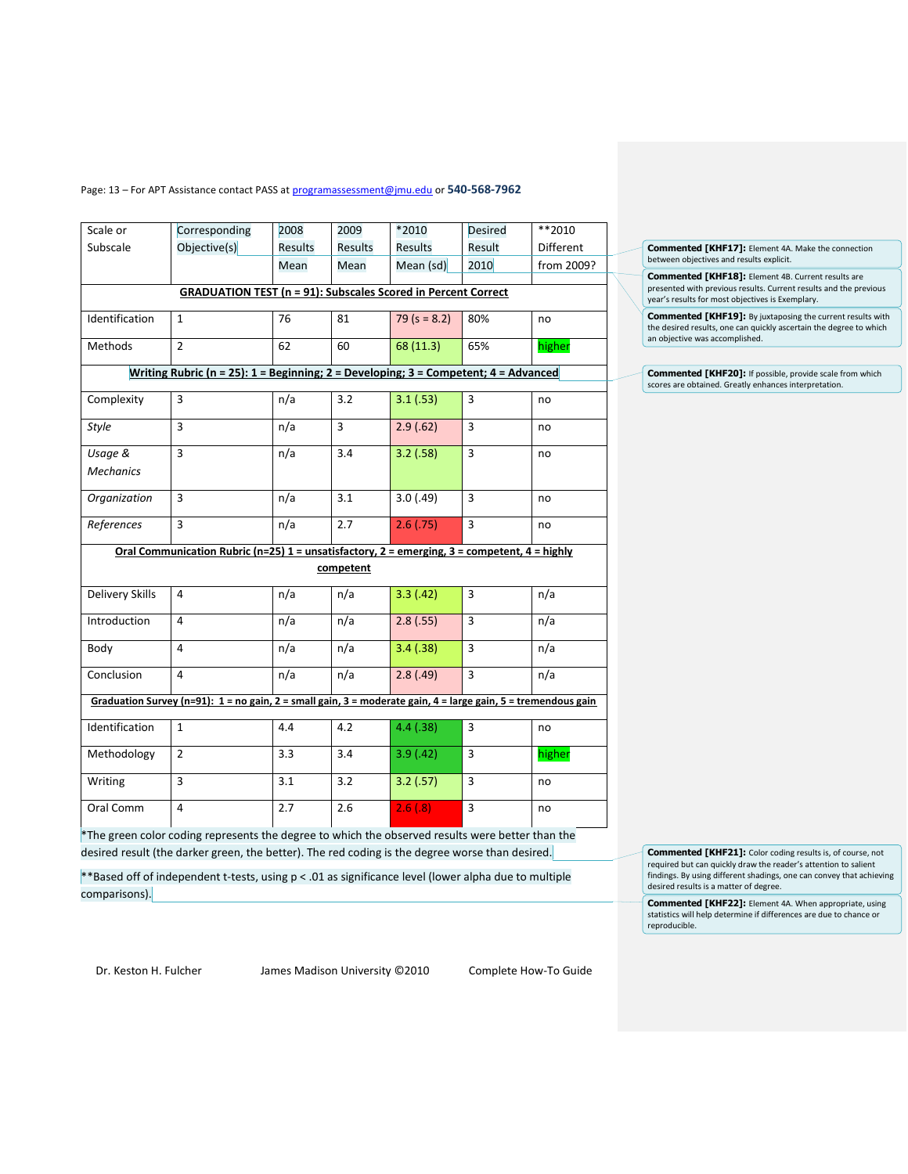### Page: 13 – For APT Assistance contact PASS at [programassessment@jmu.edu](mailto:programassessment@jmu.edu) or **540-568-7962**

| Scale or                                                                                                      | Corresponding                                                                                | 2008    | 2009      | *2010            | <b>Desired</b> | **2010     |  |
|---------------------------------------------------------------------------------------------------------------|----------------------------------------------------------------------------------------------|---------|-----------|------------------|----------------|------------|--|
| Subscale                                                                                                      | Objective(s)                                                                                 | Results | Results   | Results          | Result         | Different  |  |
|                                                                                                               |                                                                                              | Mean    | Mean      | Mean (sd)        | 2010           | from 2009? |  |
|                                                                                                               |                                                                                              |         |           |                  |                |            |  |
|                                                                                                               | <b>GRADUATION TEST (n = 91): Subscales Scored in Percent Correct</b>                         |         |           |                  |                |            |  |
| Identification                                                                                                | $\mathbf{1}$                                                                                 | 76      | 81        | 79 ( $s = 8.2$ ) | 80%            | no         |  |
| Methods                                                                                                       | $\overline{2}$                                                                               | 62      | 60        | 68 (11.3)        | 65%            | higher     |  |
|                                                                                                               | Writing Rubric (n = 25): $1$ = Beginning; $2$ = Developing; $3$ = Competent; $4$ = Advanced  |         |           |                  |                |            |  |
|                                                                                                               |                                                                                              |         |           |                  |                |            |  |
| Complexity                                                                                                    | 3                                                                                            | n/a     | 3.2       | 3.1(.53)         | 3              | no         |  |
| <b>Style</b>                                                                                                  | $\overline{3}$                                                                               | n/a     | 3         | 2.9(.62)         | 3              | no         |  |
| Usage &                                                                                                       | 3                                                                                            | n/a     | 3.4       | 3.2(.58)         | 3              | no         |  |
| <b>Mechanics</b>                                                                                              |                                                                                              |         |           |                  |                |            |  |
| Organization                                                                                                  | $\overline{3}$                                                                               | n/a     | 3.1       | 3.0(0.49)        | 3              | no         |  |
| References                                                                                                    | $\overline{3}$                                                                               | n/a     | 2.7       | $2.6$ (.75)      | 3              | no         |  |
|                                                                                                               | Oral Communication Rubric (n=25) 1 = unsatisfactory, 2 = emerging, 3 = competent, 4 = highly |         |           |                  |                |            |  |
|                                                                                                               |                                                                                              |         | competent |                  |                |            |  |
| Delivery Skills                                                                                               | 4                                                                                            | n/a     | n/a       | 3.3(.42)         | 3              | n/a        |  |
| Introduction                                                                                                  | 4                                                                                            | n/a     | n/a       | 2.8(.55)         | 3              | n/a        |  |
| Body                                                                                                          | 4                                                                                            | n/a     | n/a       | 3.4(.38)         | 3              | n/a        |  |
| Conclusion                                                                                                    | 4                                                                                            | n/a     | n/a       | 2.8(.49)         | $\overline{3}$ | n/a        |  |
| Graduation Survey (n=91): 1 = no gain, 2 = small gain, 3 = moderate gain, 4 = large gain, 5 = tremendous gain |                                                                                              |         |           |                  |                |            |  |
| Identification                                                                                                | $\mathbf{1}$                                                                                 | 4.4     | 4.2       | 4.4(0.38)        | 3              | no         |  |
| Methodology                                                                                                   | $\overline{2}$                                                                               | 3.3     | 3.4       | 3.9(0.42)        | 3              | higher     |  |
| Writing                                                                                                       | 3                                                                                            | 3.1     | 3.2       | 3.2(.57)         | 3              | no         |  |
| Oral Comm                                                                                                     | 4                                                                                            | 2.7     | 2.6       | 2.6(.8)          | 3              | no         |  |
|                                                                                                               |                                                                                              |         |           |                  |                |            |  |

**Commented [KHF17]:** Element 4A. Make the connection between objectives and results explicit.

**Commented [KHF18]:** Element 4B. Current results are presented with previous results. Current results and the previous year's results for most objectives is Exemplary.

**Commented [KHF19]:** By juxtaposing the current results with the desired results, one can quickly ascertain the degree to which an objective was accomplished.

**Commented [KHF20]:** If possible, provide scale from which scores are obtained. Greatly enhances interpretation.

\*The green color coding represents the degree to which the observed results were better than the desired result (the darker green, the better). The red coding is the degree worse than desired.

\*\*Based off of independent t-tests, using p < .01 as significance level (lower alpha due to multiple comparisons).

**Commented [KHF21]:** Color coding results is, of course, not required but can quickly draw the reader's attention to salient findings. By using different shadings, one can convey that achieving desired results is a matter of degree.

**Commented [KHF22]:** Element 4A. When appropriate, using statistics will help determine if differences are due to chance or reproducible.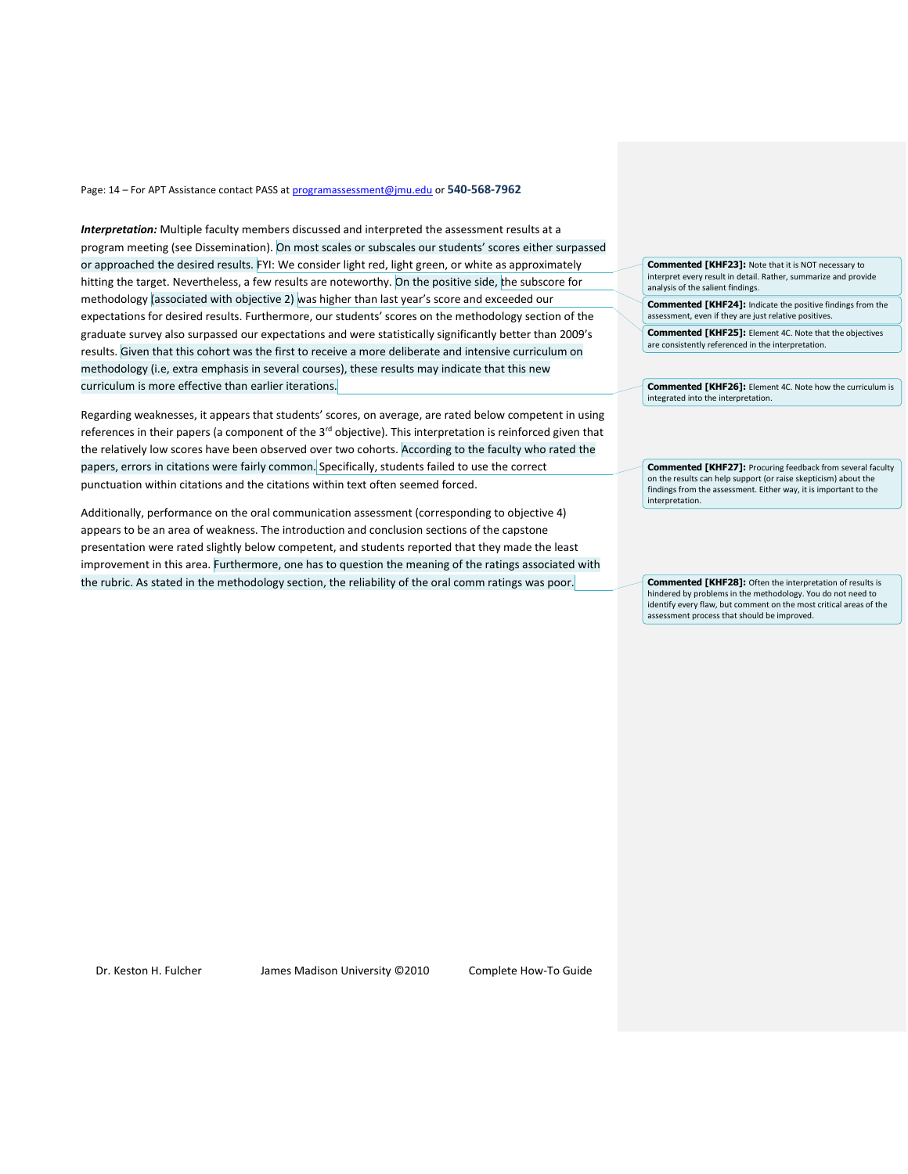#### Page: 14 – For APT Assistance contact PASS at [programassessment@jmu.edu](mailto:programassessment@jmu.edu) or **540-568-7962**

*Interpretation:* Multiple faculty members discussed and interpreted the assessment results at a program meeting (see Dissemination). On most scales or subscales our students' scores either surpassed or approached the desired results. FYI: We consider light red, light green, or white as approximately hitting the target. Nevertheless, a few results are noteworthy. On the positive side, the subscore for methodology (associated with objective 2) was higher than last year's score and exceeded our expectations for desired results. Furthermore, our students' scores on the methodology section of the graduate survey also surpassed our expectations and were statistically significantly better than 2009's results. Given that this cohort was the first to receive a more deliberate and intensive curriculum on methodology (i.e, extra emphasis in several courses), these results may indicate that this new curriculum is more effective than earlier iterations.

Regarding weaknesses, it appears that students' scores, on average, are rated below competent in using references in their papers (a component of the 3<sup>rd</sup> objective). This interpretation is reinforced given that the relatively low scores have been observed over two cohorts. According to the faculty who rated the papers, errors in citations were fairly common. Specifically, students failed to use the correct punctuation within citations and the citations within text often seemed forced.

Additionally, performance on the oral communication assessment (corresponding to objective 4) appears to be an area of weakness. The introduction and conclusion sections of the capstone presentation were rated slightly below competent, and students reported that they made the least improvement in this area. Furthermore, one has to question the meaning of the ratings associated with the rubric. As stated in the methodology section, the reliability of the oral comm ratings was poor.

**Commented [KHF23]:** Note that it is NOT necessary to interpret every result in detail. Rather, summarize and provide analysis of the salient findings.

**Commented [KHF24]:** Indicate the positive findings from the assessment, even if they are just relative positives.

**Commented [KHF25]:** Element 4C. Note that the objectives are consistently referenced in the interpretation.

**Commented [KHF26]:** Element 4C. Note how the curriculum is integrated into the interpretation.

**Commented [KHF27]:** Procuring feedback from several faculty on the results can help support (or raise skepticism) about the findings from the assessment. Either way, it is important to the interpretation.

**Commented [KHF28]:** Often the interpretation of results is hindered by problems in the methodology. You do not need to identify every flaw, but comment on the most critical areas of the assessment process that should be improved.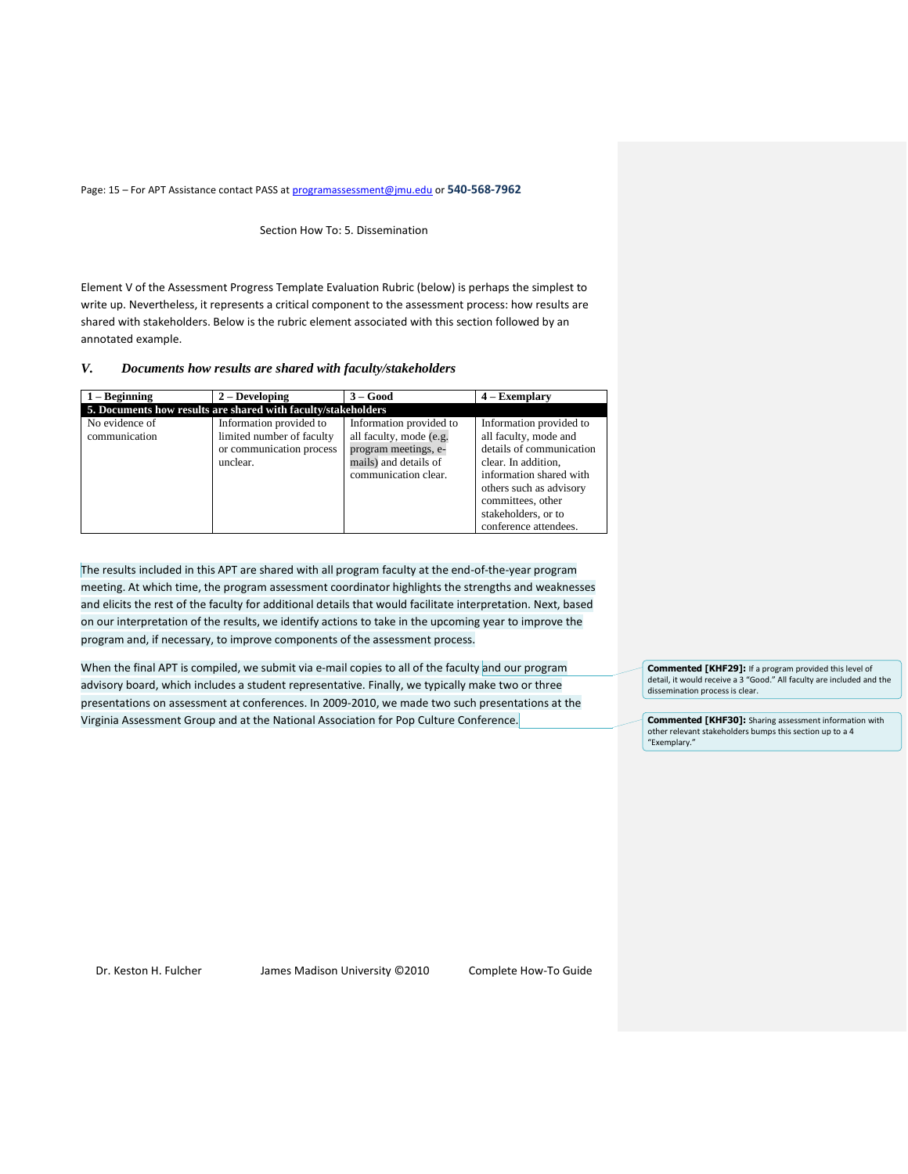Page: 15 – For APT Assistance contact PASS at [programassessment@jmu.edu](mailto:programassessment@jmu.edu) or **540-568-7962**

Section How To: 5. Dissemination

Element V of the Assessment Progress Template Evaluation Rubric (below) is perhaps the simplest to write up. Nevertheless, it represents a critical component to the assessment process: how results are shared with stakeholders. Below is the rubric element associated with this section followed by an annotated example.

## *V. Documents how results are shared with faculty/stakeholders*

| $1 -$ Beginning                                               | $2 - Developing$          | $3 - Good$              | $4 -$ Exemplary          |  |  |  |  |
|---------------------------------------------------------------|---------------------------|-------------------------|--------------------------|--|--|--|--|
| 5. Documents how results are shared with faculty/stakeholders |                           |                         |                          |  |  |  |  |
| No evidence of                                                | Information provided to   | Information provided to | Information provided to  |  |  |  |  |
| communication                                                 | limited number of faculty | all faculty, mode (e.g. | all faculty, mode and    |  |  |  |  |
|                                                               | or communication process  | program meetings, e-    | details of communication |  |  |  |  |
|                                                               | unclear.                  | mails) and details of   | clear. In addition.      |  |  |  |  |
|                                                               |                           | communication clear.    | information shared with  |  |  |  |  |
|                                                               |                           |                         | others such as advisory  |  |  |  |  |
|                                                               |                           |                         | committees, other        |  |  |  |  |
|                                                               |                           |                         | stakeholders, or to      |  |  |  |  |
|                                                               |                           |                         | conference attendees.    |  |  |  |  |

The results included in this APT are shared with all program faculty at the end-of-the-year program meeting. At which time, the program assessment coordinator highlights the strengths and weaknesses and elicits the rest of the faculty for additional details that would facilitate interpretation. Next, based on our interpretation of the results, we identify actions to take in the upcoming year to improve the program and, if necessary, to improve components of the assessment process.

When the final APT is compiled, we submit via e-mail copies to all of the faculty and our program advisory board, which includes a student representative. Finally, we typically make two or three presentations on assessment at conferences. In 2009-2010, we made two such presentations at the Virginia Assessment Group and at the National Association for Pop Culture Conference.

**Commented [KHF29]:** If a program provided this level of detail, it would receive a 3 "Good." All faculty are included and the dissemination process is clear.

**Commented [KHF30]:** Sharing assessment information with other relevant stakeholders bumps this section up to a 4 "Exemplary."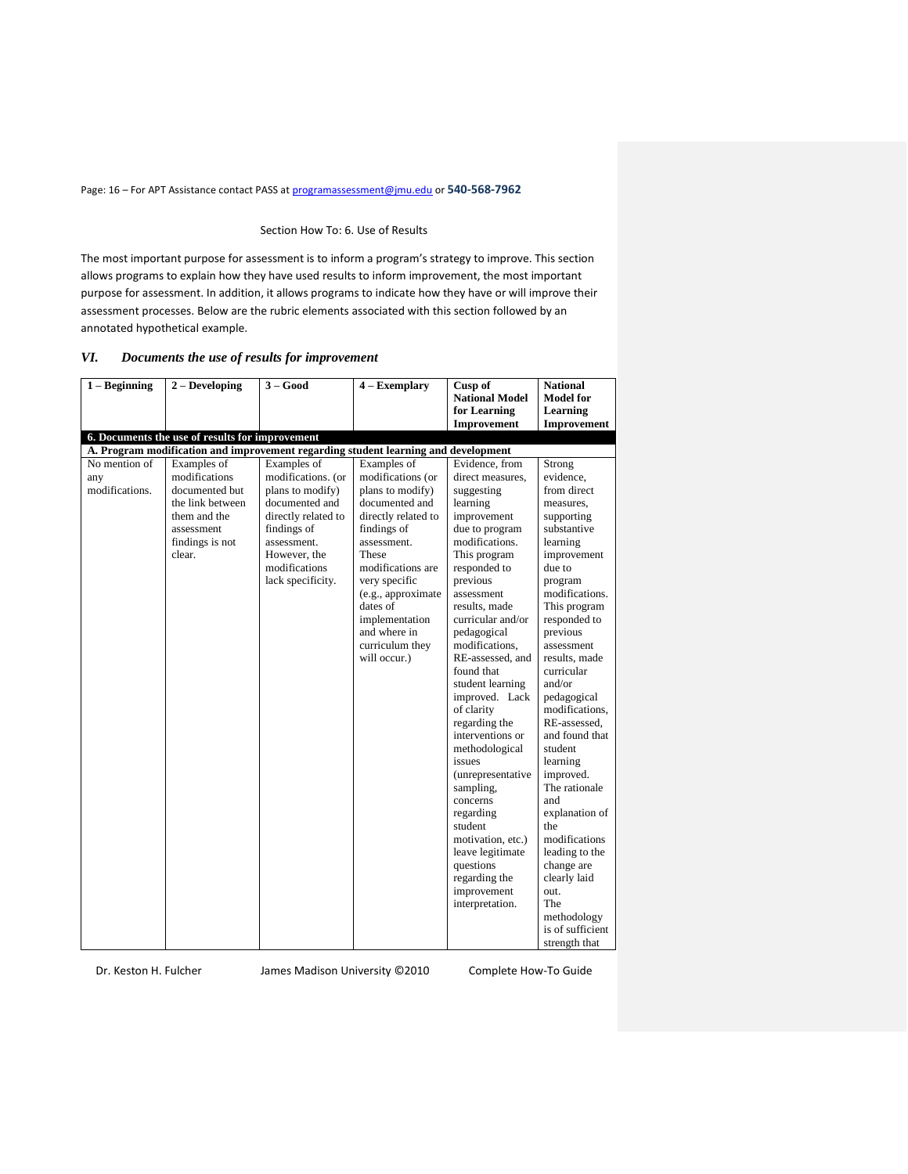Page: 16 – For APT Assistance contact PASS at [programassessment@jmu.edu](mailto:programassessment@jmu.edu) or **540-568-7962**

## Section How To: 6. Use of Results

The most important purpose for assessment is to inform a program's strategy to improve. This section allows programs to explain how they have used results to inform improvement, the most important purpose for assessment. In addition, it allows programs to indicate how they have or will improve their assessment processes. Below are the rubric elements associated with this section followed by an annotated hypothetical example.

| VI. |  |  | Documents the use of results for improvement |
|-----|--|--|----------------------------------------------|
|-----|--|--|----------------------------------------------|

| $1 -$ Beginning                                                                    | $2 - Developing$ | $3 - Good$          | 4 – Exemplary       | Cusp of               | <b>National</b>       |  |  |  |  |
|------------------------------------------------------------------------------------|------------------|---------------------|---------------------|-----------------------|-----------------------|--|--|--|--|
|                                                                                    |                  |                     |                     | <b>National Model</b> | <b>Model for</b>      |  |  |  |  |
|                                                                                    |                  |                     |                     | for Learning          | Learning              |  |  |  |  |
|                                                                                    |                  |                     |                     | Improvement           | Improvement           |  |  |  |  |
| 6. Documents the use of results for improvement                                    |                  |                     |                     |                       |                       |  |  |  |  |
| A. Program modification and improvement regarding student learning and development |                  |                     |                     |                       |                       |  |  |  |  |
| No mention of                                                                      | Examples of      | Examples of         | Examples of         | Evidence, from        | Strong                |  |  |  |  |
| any                                                                                | modifications    | modifications. (or  | modifications (or   | direct measures,      | evidence.             |  |  |  |  |
| modifications.                                                                     | documented but   | plans to modify)    | plans to modify)    | suggesting            | from direct           |  |  |  |  |
|                                                                                    | the link between | documented and      | documented and      | learning              | measures,             |  |  |  |  |
|                                                                                    | them and the     | directly related to | directly related to | improvement           | supporting            |  |  |  |  |
|                                                                                    | assessment       | findings of         | findings of         | due to program        | substantive           |  |  |  |  |
|                                                                                    | findings is not  | assessment.         | assessment.         | modifications.        | learning              |  |  |  |  |
| clear.                                                                             |                  | However, the        | These               | This program          | improvement           |  |  |  |  |
|                                                                                    |                  | modifications       | modifications are   | responded to          | due to                |  |  |  |  |
|                                                                                    |                  | lack specificity.   | very specific       | previous              | program               |  |  |  |  |
|                                                                                    |                  |                     | (e.g., approximate  | assessment            | modifications.        |  |  |  |  |
|                                                                                    |                  |                     | dates of            | results, made         | This program          |  |  |  |  |
|                                                                                    |                  |                     | implementation      | curricular and/or     | responded to          |  |  |  |  |
|                                                                                    |                  |                     | and where in        | pedagogical           | previous              |  |  |  |  |
|                                                                                    |                  |                     | curriculum they     | modifications,        | assessment            |  |  |  |  |
|                                                                                    |                  |                     | will occur.)        | RE-assessed, and      | results, made         |  |  |  |  |
|                                                                                    |                  |                     |                     | found that            | curricular            |  |  |  |  |
|                                                                                    |                  |                     |                     | student learning      | and/or                |  |  |  |  |
|                                                                                    |                  |                     |                     | improved. Lack        | pedagogical           |  |  |  |  |
|                                                                                    |                  |                     |                     | of clarity            | modifications.        |  |  |  |  |
|                                                                                    |                  |                     |                     | regarding the         | RE-assessed,          |  |  |  |  |
|                                                                                    |                  |                     |                     | interventions or      | and found that        |  |  |  |  |
|                                                                                    |                  |                     |                     | methodological        | student               |  |  |  |  |
|                                                                                    |                  |                     |                     | issues                | learning              |  |  |  |  |
|                                                                                    |                  |                     |                     | (unrepresentative     | improved.             |  |  |  |  |
|                                                                                    |                  |                     |                     | sampling,             | The rationale         |  |  |  |  |
|                                                                                    |                  |                     |                     | concerns              | and                   |  |  |  |  |
|                                                                                    |                  |                     |                     | regarding<br>student  | explanation of<br>the |  |  |  |  |
|                                                                                    |                  |                     |                     | motivation, etc.)     | modifications         |  |  |  |  |
|                                                                                    |                  |                     |                     | leave legitimate      | leading to the        |  |  |  |  |
|                                                                                    |                  |                     |                     | questions             | change are            |  |  |  |  |
|                                                                                    |                  |                     |                     | regarding the         | clearly laid          |  |  |  |  |
|                                                                                    |                  |                     |                     | improvement           | out.                  |  |  |  |  |
|                                                                                    |                  |                     |                     | interpretation.       | The                   |  |  |  |  |
|                                                                                    |                  |                     |                     |                       | methodology           |  |  |  |  |
|                                                                                    |                  |                     |                     |                       | is of sufficient      |  |  |  |  |
|                                                                                    |                  |                     |                     |                       | strength that         |  |  |  |  |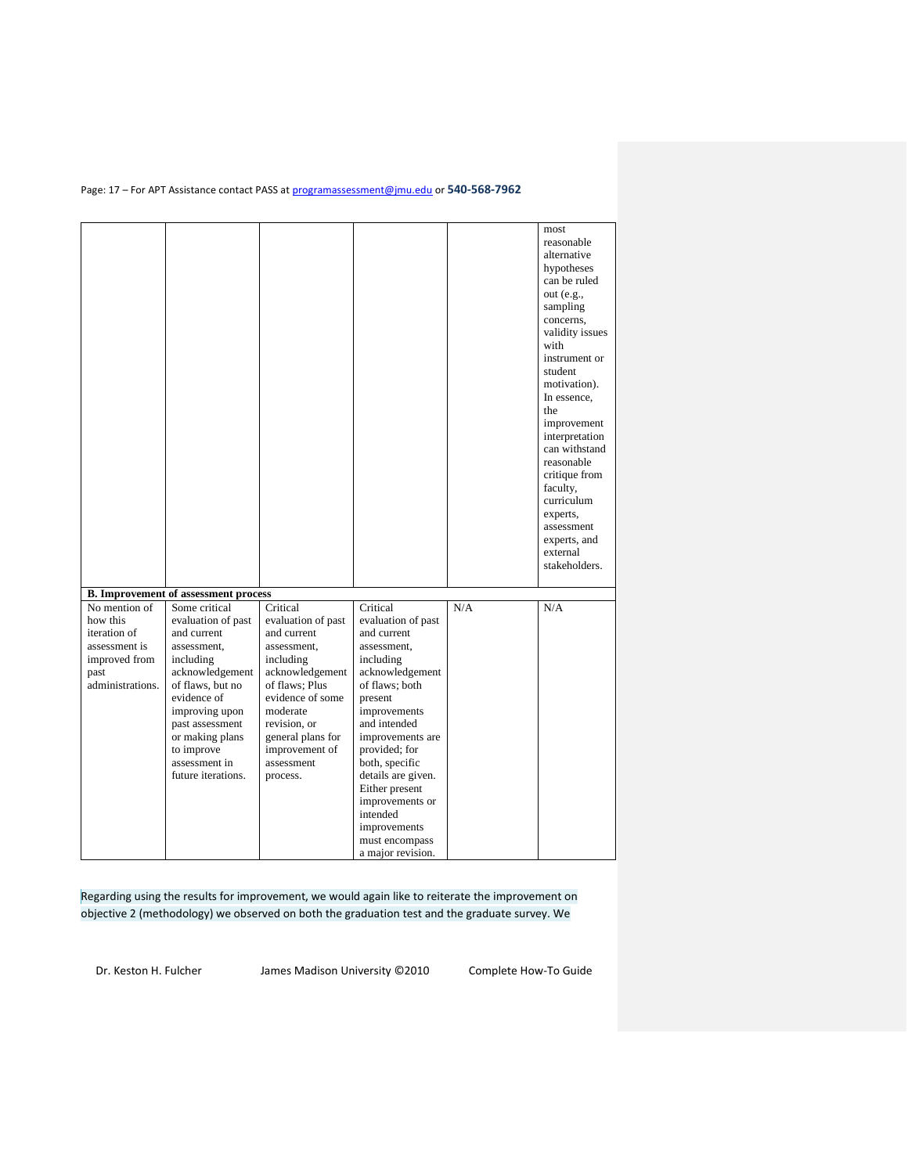## Page: 17 – For APT Assistance contact PASS at [programassessment@jmu.edu](mailto:programassessment@jmu.edu) or **540-568-7962**

|                                                                                        |                                                                                                                                                                                                                                  |                                                                                                                                                                                                                     |                                                                                                                                                                                                                                                                                                                                    |     | most<br>reasonable<br>alternative<br>hypotheses<br>can be ruled<br>out $(e.g.,$<br>sampling<br>concerns,<br>validity issues<br>with<br>instrument or<br>student<br>motivation).<br>In essence,<br>the<br>improvement<br>interpretation<br>can withstand<br>reasonable<br>critique from<br>faculty,<br>curriculum<br>experts,<br>assessment<br>experts, and<br>external<br>stakeholders. |
|----------------------------------------------------------------------------------------|----------------------------------------------------------------------------------------------------------------------------------------------------------------------------------------------------------------------------------|---------------------------------------------------------------------------------------------------------------------------------------------------------------------------------------------------------------------|------------------------------------------------------------------------------------------------------------------------------------------------------------------------------------------------------------------------------------------------------------------------------------------------------------------------------------|-----|-----------------------------------------------------------------------------------------------------------------------------------------------------------------------------------------------------------------------------------------------------------------------------------------------------------------------------------------------------------------------------------------|
|                                                                                        |                                                                                                                                                                                                                                  |                                                                                                                                                                                                                     |                                                                                                                                                                                                                                                                                                                                    |     |                                                                                                                                                                                                                                                                                                                                                                                         |
| No mention of                                                                          | <b>B.</b> Improvement of assessment process<br>Some critical                                                                                                                                                                     | Critical                                                                                                                                                                                                            | Critical                                                                                                                                                                                                                                                                                                                           | N/A | N/A                                                                                                                                                                                                                                                                                                                                                                                     |
| how this<br>iteration of<br>assessment is<br>improved from<br>past<br>administrations. | evaluation of past<br>and current<br>assessment,<br>including<br>acknowledgement<br>of flaws, but no<br>evidence of<br>improving upon<br>past assessment<br>or making plans<br>to improve<br>assessment in<br>future iterations. | evaluation of past<br>and current<br>assessment,<br>including<br>acknowledgement<br>of flaws; Plus<br>evidence of some<br>moderate<br>revision, or<br>general plans for<br>improvement of<br>assessment<br>process. | evaluation of past<br>and current<br>assessment,<br>including<br>acknowledgement<br>of flaws; both<br>present<br>improvements<br>and intended<br>improvements are<br>provided; for<br>both, specific<br>details are given.<br>Either present<br>improvements or<br>intended<br>improvements<br>must encompass<br>a major revision. |     |                                                                                                                                                                                                                                                                                                                                                                                         |

Regarding using the results for improvement, we would again like to reiterate the improvement on objective 2 (methodology) we observed on both the graduation test and the graduate survey. We